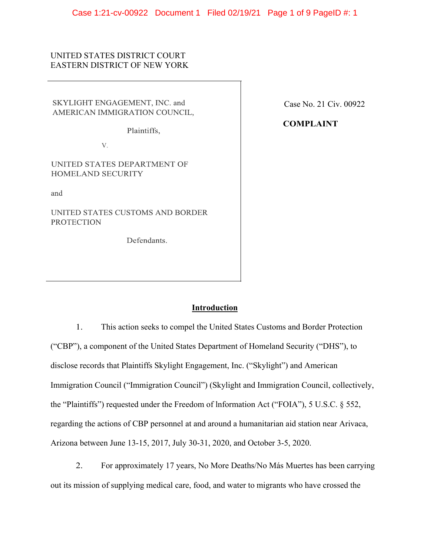## UNITED STATES DISTRICT COURT EASTERN DISTRICT OF NEW YORK

SKYLIGHT ENGAGEMENT, INC. and AMERICAN IMMIGRATION COUNCIL,

Plaintiffs,

V.

UNITED STATES DEPARTMENT OF HOMELAND SECURITY

and

UNITED STATES CUSTOMS AND BORDER **PROTECTION** 

Defendants.

Case No. 21 Civ. 00922

**COMPLAINT**

## **Introduction**

1. This action seeks to compel the United States Customs and Border Protection ("CBP"), a component of the United States Department of Homeland Security ("DHS"), to disclose records that Plaintiffs Skylight Engagement, Inc. ("Skylight") and American Immigration Council ("Immigration Council") (Skylight and Immigration Council, collectively, the "Plaintiffs") requested under the Freedom of lnformation Act ("FOIA"), 5 U.S.C. § 552, regarding the actions of CBP personnel at and around a humanitarian aid station near Arivaca, Arizona between June 13-15, 2017, July 30-31, 2020, and October 3-5, 2020.

2. For approximately 17 years, No More Deaths/No Más Muertes has been carrying out its mission of supplying medical care, food, and water to migrants who have crossed the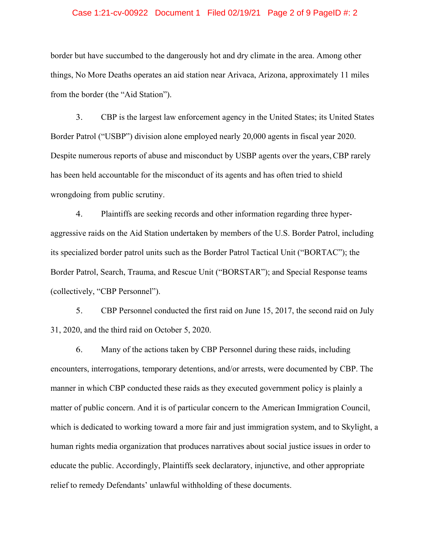#### Case 1:21-cv-00922 Document 1 Filed 02/19/21 Page 2 of 9 PageID #: 2

border but have succumbed to the dangerously hot and dry climate in the area. Among other things, No More Deaths operates an aid station near Arivaca, Arizona, approximately 11 miles from the border (the "Aid Station").

3. CBP is the largest law enforcement agency in the United States; its United States Border Patrol ("USBP") division alone employed nearly 20,000 agents in fiscal year 2020. Despite numerous reports of abuse and misconduct by USBP agents over the years,CBP rarely has been held accountable for the misconduct of its agents and has often tried to shield wrongdoing from public scrutiny.

4. Plaintiffs are seeking records and other information regarding three hyperaggressive raids on the Aid Station undertaken by members of the U.S. Border Patrol, including its specialized border patrol units such as the Border Patrol Tactical Unit ("BORTAC"); the Border Patrol, Search, Trauma, and Rescue Unit ("BORSTAR"); and Special Response teams (collectively, "CBP Personnel").

5. CBP Personnel conducted the first raid on June 15, 2017, the second raid on July 31, 2020, and the third raid on October 5, 2020.

6. Many of the actions taken by CBP Personnel during these raids, including encounters, interrogations, temporary detentions, and/or arrests, were documented by CBP. The manner in which CBP conducted these raids as they executed government policy is plainly a matter of public concern. And it is of particular concern to the American Immigration Council, which is dedicated to working toward a more fair and just immigration system, and to Skylight, a human rights media organization that produces narratives about social justice issues in order to educate the public. Accordingly, Plaintiffs seek declaratory, injunctive, and other appropriate relief to remedy Defendants' unlawful withholding of these documents.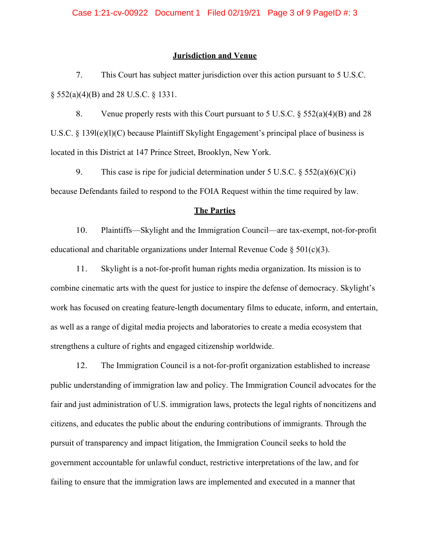#### **Jurisdiction and Venue**

7. This Court has subject matter jurisdiction over this action pursuant to 5 U.S.C. § 552(a)(4)(B) and 28 U.S.C. § 1331.

8. Venue properly rests with this Court pursuant to 5 U.S.C.  $\frac{552(a)(4)(B)}{28}$  and 28 U.S.C. § 139l(e)(l)(C) because Plaintiff Skylight Engagement's principal place of business is located in this District at 147 Prince Street, Brooklyn, New York.

9. This case is ripe for judicial determination under 5 U.S.C.  $\S$  552(a)(6)(C)(i) because Defendants failed to respond to the FOIA Request within the time required by law.

### **The Parties**

10. Plaintiffs—Skylight and the Immigration Council—are tax-exempt, not-for-profit educational and charitable organizations under Internal Revenue Code  $\S 501(c)(3)$ .

11. Skylight is a not-for-profit human rights media organization. Its mission is to combine cinematic arts with the quest for justice to inspire the defense of democracy. Skylight's work has focused on creating feature-length documentary films to educate, inform, and entertain, as well as a range of digital media projects and laboratories to create a media ecosystem that strengthens a culture of rights and engaged citizenship worldwide.

12. The Immigration Council is a not-for-profit organization established to increase public understanding of immigration law and policy. The Immigration Council advocates for the fair and just administration of U.S. immigration laws, protects the legal rights of noncitizens and citizens, and educates the public about the enduring contributions of immigrants. Through the pursuit of transparency and impact litigation, the Immigration Council seeks to hold the government accountable for unlawful conduct, restrictive interpretations of the law, and for failing to ensure that the immigration laws are implemented and executed in a manner that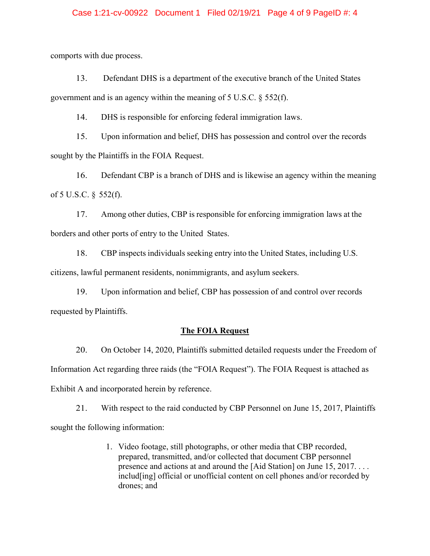#### Case 1:21-cv-00922 Document 1 Filed 02/19/21 Page 4 of 9 PageID #: 4

comports with due process.

13. Defendant DHS is a department of the executive branch of the United States government and is an agency within the meaning of 5 U.S.C. § 552(f).

14. DHS is responsible for enforcing federal immigration laws.

15. Upon information and belief, DHS has possession and control over the records sought by the Plaintiffs in the FOIA Request.

16. Defendant CBP is a branch of DHS and is likewise an agency within the meaning of 5 U.S.C. § 552(f).

17. Among other duties, CBP is responsible for enforcing immigration laws at the borders and other ports of entry to the United States.

18. CBP inspects individuals seeking entry into the United States, including U.S. citizens, lawful permanent residents, nonimmigrants, and asylum seekers.

19. Upon information and belief, CBP has possession of and control over records requested by Plaintiffs.

### **The FOIA Request**

20. On October 14, 2020, Plaintiffs submitted detailed requests under the Freedom of Information Act regarding three raids (the "FOIA Request"). The FOIA Request is attached as Exhibit A and incorporated herein by reference.

21. With respect to the raid conducted by CBP Personnel on June 15, 2017, Plaintiffs sought the following information:

> 1. Video footage, still photographs, or other media that CBP recorded, prepared, transmitted, and/or collected that document CBP personnel presence and actions at and around the [Aid Station] on June 15, 2017. . . . includ[ing] official or unofficial content on cell phones and/or recorded by drones; and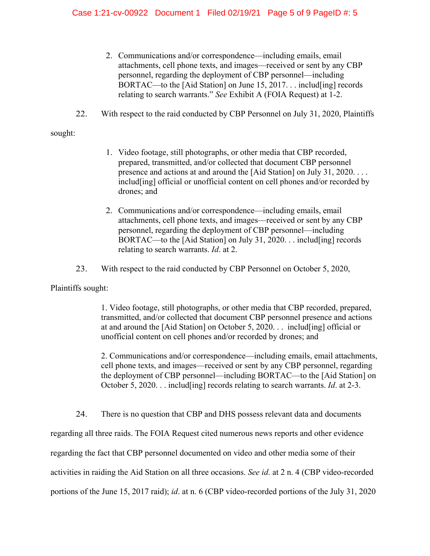- 2. Communications and/or correspondence—including emails, email attachments, cell phone texts, and images—received or sent by any CBP personnel, regarding the deployment of CBP personnel—including BORTAC—to the [Aid Station] on June 15, 2017. . . includ[ing] records relating to search warrants." *See* Exhibit A (FOIA Request) at 1-2.
- 22. With respect to the raid conducted by CBP Personnel on July 31, 2020, Plaintiffs

sought:

- 1. Video footage, still photographs, or other media that CBP recorded, prepared, transmitted, and/or collected that document CBP personnel presence and actions at and around the [Aid Station] on July 31, 2020. . . . includ[ing] official or unofficial content on cell phones and/or recorded by drones; and
- 2. Communications and/or correspondence—including emails, email attachments, cell phone texts, and images—received or sent by any CBP personnel, regarding the deployment of CBP personnel—including BORTAC—to the [Aid Station] on July 31, 2020. . . includ[ing] records relating to search warrants. *Id*. at 2.
- 23. With respect to the raid conducted by CBP Personnel on October 5, 2020,

Plaintiffs sought:

1. Video footage, still photographs, or other media that CBP recorded, prepared, transmitted, and/or collected that document CBP personnel presence and actions at and around the [Aid Station] on October 5, 2020. . . includ[ing] official or unofficial content on cell phones and/or recorded by drones; and

2. Communications and/or correspondence—including emails, email attachments, cell phone texts, and images—received or sent by any CBP personnel, regarding the deployment of CBP personnel—including BORTAC—to the [Aid Station] on October 5, 2020. . . includ[ing] records relating to search warrants. *Id*. at 2-3.

24. There is no question that CBP and DHS possess relevant data and documents

regarding all three raids. The FOIA Request cited numerous news reports and other evidence

regarding the fact that CBP personnel documented on video and other media some of their

activities in raiding the Aid Station on all three occasions. *See id*. at 2 n. 4 (CBP video-recorded

portions of the June 15, 2017 raid); *id*. at n. 6 (CBP video-recorded portions of the July 31, 2020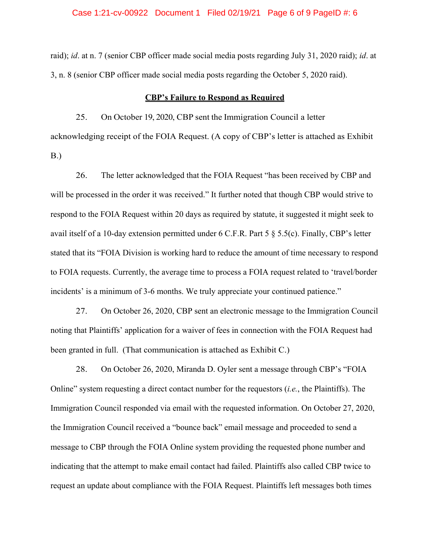#### Case 1:21-cv-00922 Document 1 Filed 02/19/21 Page 6 of 9 PageID #: 6

raid); *id*. at n. 7 (senior CBP officer made social media posts regarding July 31, 2020 raid); *id*. at 3, n. 8 (senior CBP officer made social media posts regarding the October 5, 2020 raid).

### **CBP's Failure to Respond as Required**

25. On October 19, 2020, CBP sent the Immigration Council a letter acknowledging receipt of the FOIA Request. (A copy of CBP's letter is attached as Exhibit B.)

26. The letter acknowledged that the FOIA Request "has been received by CBP and will be processed in the order it was received." It further noted that though CBP would strive to respond to the FOIA Request within 20 days as required by statute, it suggested it might seek to avail itself of a 10-day extension permitted under 6 C.F.R. Part 5 § 5.5(c). Finally, CBP's letter stated that its "FOIA Division is working hard to reduce the amount of time necessary to respond to FOIA requests. Currently, the average time to process a FOIA request related to 'travel/border incidents' is a minimum of 3-6 months. We truly appreciate your continued patience."

27. On October 26, 2020, CBP sent an electronic message to the Immigration Council noting that Plaintiffs' application for a waiver of fees in connection with the FOIA Request had been granted in full. (That communication is attached as Exhibit C.)

28. On October 26, 2020, Miranda D. Oyler sent a message through CBP's "FOIA Online" system requesting a direct contact number for the requestors (*i.e.*, the Plaintiffs). The Immigration Council responded via email with the requested information. On October 27, 2020, the Immigration Council received a "bounce back" email message and proceeded to send a message to CBP through the FOIA Online system providing the requested phone number and indicating that the attempt to make email contact had failed. Plaintiffs also called CBP twice to request an update about compliance with the FOIA Request. Plaintiffs left messages both times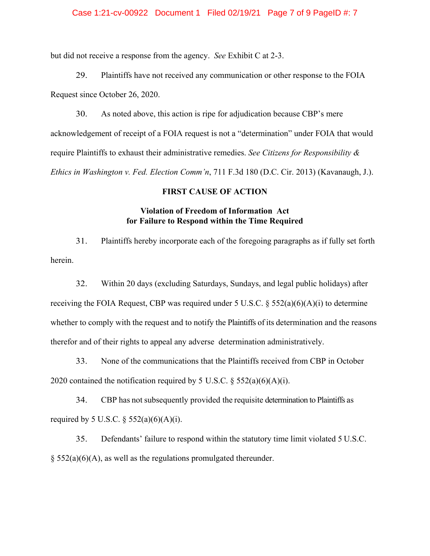#### Case 1:21-cv-00922 Document 1 Filed 02/19/21 Page 7 of 9 PageID #: 7

but did not receive a response from the agency. *See* Exhibit C at 2-3.

29. Plaintiffs have not received any communication or other response to the FOIA Request since October 26, 2020.

30. As noted above, this action is ripe for adjudication because CBP's mere acknowledgement of receipt of a FOIA request is not a "determination" under FOIA that would require Plaintiffs to exhaust their administrative remedies. *See Citizens for Responsibility & Ethics in Washington v. Fed. Election Comm'n*, 711 F.3d 180 (D.C. Cir. 2013) (Kavanaugh, J.).

#### **FIRST CAUSE OF ACTION**

### **Violation of Freedom of Information Act for Failure to Respond within the Time Required**

31. Plaintiffs hereby incorporate each of the foregoing paragraphs as if fully set forth herein.

32. Within 20 days (excluding Saturdays, Sundays, and legal public holidays) after receiving the FOIA Request, CBP was required under 5 U.S.C.  $\S$  552(a)(6)(A)(i) to determine whether to comply with the request and to notify the Plaintiffs of its determination and the reasons therefor and of their rights to appeal any adverse determination administratively.

33. None of the communications that the Plaintiffs received from CBP in October 2020 contained the notification required by 5 U.S.C.  $\S$  552(a)(6)(A)(i).

34. CBP has not subsequently provided the requisite determination to Plaintiffs as required by 5 U.S.C.  $\S 552(a)(6)(A)(i)$ .

35. Defendants' failure to respond within the statutory time limit violated 5 U.S.C.  $\S$  552(a)(6)(A), as well as the regulations promulgated thereunder.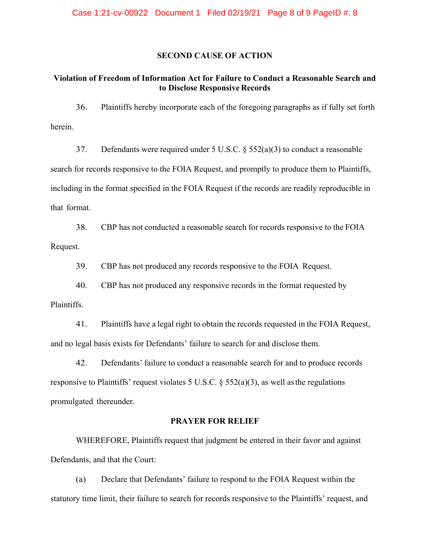#### **SECOND CAUSE OF ACTION**

# **Violation of Freedom of Information Act for Failure to Conduct a Reasonable Search and to Disclose Responsive Records**

36. Plaintiffs hereby incorporate each of the foregoing paragraphs as if fully set forth herein.

37. Defendants were required under 5 U.S.C. § 552(a)(3) to conduct a reasonable search for records responsive to the FOIA Request, and promptly to produce them to Plaintiffs, including in the format specified in the FOIA Request if the records are readily reproducible in that format.

38. CBP has not conducted a reasonable search for records responsive to the FOIA Request.

39. CBP has not produced any records responsive to the FOIA Request.

40. CBP has not produced any responsive records in the format requested by

Plaintiffs.

41. Plaintiffs have a legal right to obtain the records requested in the FOIA Request, and no legal basis exists for Defendants' failure to search for and disclose them.

42. Defendants' failure to conduct a reasonable search for and to produce records responsive to Plaintiffs' request violates 5 U.S.C.  $\S$  552(a)(3), as well as the regulations promulgated thereunder.

#### **PRAYER FOR RELIEF**

WHEREFORE, Plaintiffs request that judgment be entered in their favor and against Defendants, and that the Court:

(a) Declare that Defendants' failure to respond to the FOIA Request within the statutory time limit, their failure to search for records responsive to the Plaintiffs' request, and